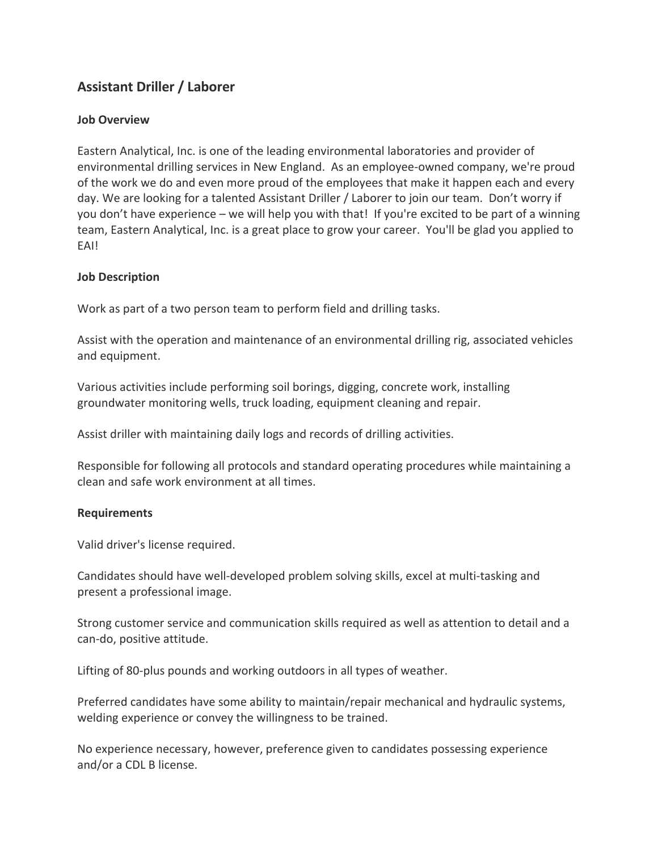# **Assistant Driller / Laborer**

## **Job Overview**

Eastern Analytical, Inc. is one of the leading environmental laboratories and provider of environmental drilling services in New England. As an employee‐owned company, we're proud of the work we do and even more proud of the employees that make it happen each and every day. We are looking for a talented Assistant Driller / Laborer to join our team. Don't worry if you don't have experience – we will help you with that! If you're excited to be part of a winning team, Eastern Analytical, Inc. is a great place to grow your career. You'll be glad you applied to EAI!

## **Job Description**

Work as part of a two person team to perform field and drilling tasks.

Assist with the operation and maintenance of an environmental drilling rig, associated vehicles and equipment.

Various activities include performing soil borings, digging, concrete work, installing groundwater monitoring wells, truck loading, equipment cleaning and repair.

Assist driller with maintaining daily logs and records of drilling activities.

Responsible for following all protocols and standard operating procedures while maintaining a clean and safe work environment at all times.

### **Requirements**

Valid driver's license required.

Candidates should have well‐developed problem solving skills, excel at multi‐tasking and present a professional image.

Strong customer service and communication skills required as well as attention to detail and a can‐do, positive attitude.

Lifting of 80‐plus pounds and working outdoors in all types of weather.

Preferred candidates have some ability to maintain/repair mechanical and hydraulic systems, welding experience or convey the willingness to be trained.

No experience necessary, however, preference given to candidates possessing experience and/or a CDL B license.